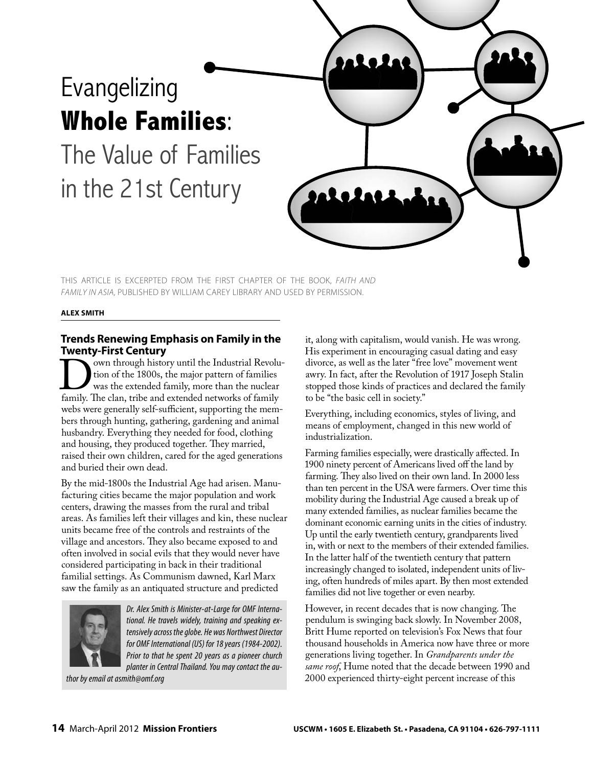# Evangelizing **Whole Families**:

## The Value of Families in the 21st Century



THIS ARTICLE IS EXCERPTED FROM THE FIRST CHAPTER OF THE BOOK, FAITH AND FAMILY IN ASIA, PUBLISHED BY WILLIAM CAREY LIBRARY AND USED BY PERMISSION.

#### **ALEX SMITH**

#### **Trends Renewing Emphasis on Family in the Twenty-First Century**

own through history until the Industrial Revolution of the 1800s, the major pattern of families was the extended family, more than the nuclear family. The clan, tribe and extended networks of family webs were generally self-sufficient, supporting the members through hunting, gathering, gardening and animal husbandry. Everything they needed for food, clothing and housing, they produced together. They married, raised their own children, cared for the aged generations and buried their own dead.

By the mid-1800s the Industrial Age had arisen. Manufacturing cities became the major population and work centers, drawing the masses from the rural and tribal areas. As families left their villages and kin, these nuclear units became free of the controls and restraints of the village and ancestors. They also became exposed to and often involved in social evils that they would never have considered participating in back in their traditional familial settings. As Communism dawned, Karl Marx saw the family as an antiquated structure and predicted



Dr. Alex Smith is Minister-at-Large for OMF International. He travels widely, training and speaking extensively across the globe. He was Northwest Director for OMF International (US) for 18 years (1984-2002). Prior to that he spent 20 years as a pioneer church planter in Central Thailand. You may contact the au-

thor by email at asmith@omf.org

it, along with capitalism, would vanish. He was wrong. His experiment in encouraging casual dating and easy divorce, as well as the later "free love" movement went awry. In fact, after the Revolution of 1917 Joseph Stalin stopped those kinds of practices and declared the family to be "the basic cell in society."

Everything, including economics, styles of living, and means of employment, changed in this new world of industrialization.

Farming families especially, were drastically affected. In 1900 ninety percent of Americans lived off the land by farming. They also lived on their own land. In 2000 less than ten percent in the USA were farmers. Over time this mobility during the Industrial Age caused a break up of many extended families, as nuclear families became the dominant economic earning units in the cities of industry. Up until the early twentieth century, grandparents lived in, with or next to the members of their extended families. In the latter half of the twentieth century that pattern increasingly changed to isolated, independent units of living, often hundreds of miles apart. By then most extended families did not live together or even nearby.

However, in recent decades that is now changing. The pendulum is swinging back slowly. In November 2008, Britt Hume reported on television's Fox News that four thousand households in America now have three or more generations living together. In *Grandparents under the same roof*, Hume noted that the decade between 1990 and 2000 experienced thirty-eight percent increase of this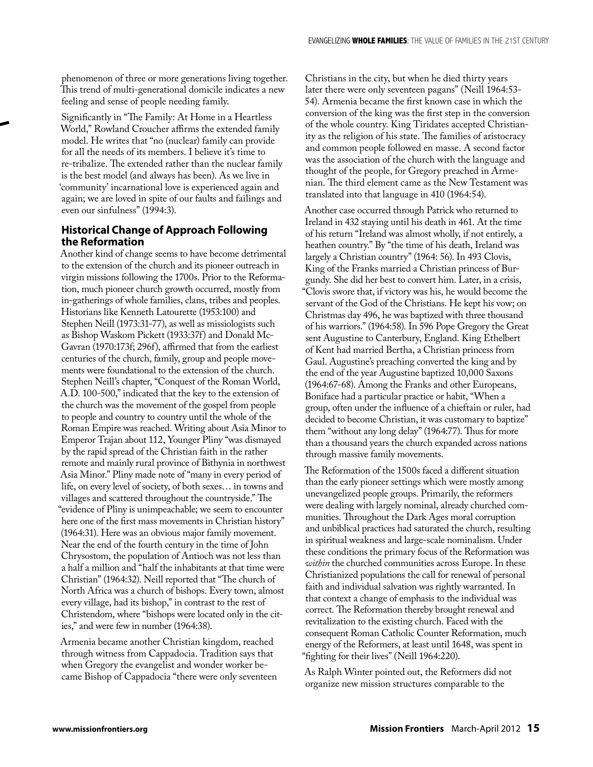phenomenon of three or more generations living together. This trend of multi-generational domicile indicates a new feeling and sense of people needing family.

Significantly in "The Family: At Home in a Heartless World," Rowland Croucher affirms the extended family model. He writes that "no (nuclear) family can provide for all the needs of its members. I believe it's time to re-tribalize. The extended rather than the nuclear family is the best model (and always has been). As we live in 'community' incarnational love is experienced again and again; we are loved in spite of our faults and failings and even our sinfulness" (1994:3).

#### **Historical Change of Approach Following the Reformation**

Another kind of change seems to have become detrimental to the extension of the church and its pioneer outreach in virgin missions following the 1700s. Prior to the Reformation, much pioneer church growth occurred, mostly from in-gatherings of whole families, clans, tribes and peoples. Historians like Kenneth Latourette (1953:100) and Stephen Neill (1973:31-77), as well as missiologists such as Bishop Waskom Pickett (1933:37f) and Donald Mc-Gavran (1970:173f; 296f), affirmed that from the earliest centuries of the church, family, group and people movements were foundational to the extension of the church. Stephen Neill's chapter, "Conquest of the Roman World, A.D. 100-500," indicated that the key to the extension of the church was the movement of the gospel from people to people and country to country until the whole of the Roman Empire was reached. Writing about Asia Minor to Emperor Trajan about 112, Younger Pliny "was dismayed by the rapid spread of the Christian faith in the rather remote and mainly rural province of Bithynia in northwest Asia Minor." Pliny made note of "many in every period of life, on every level of society, of both sexes… in towns and villages and scattered throughout the countryside." The "evidence of Pliny is unimpeachable; we seem to encounter here one of the first mass movements in Christian history" (1964:31). Here was an obvious major family movement. Near the end of the fourth century in the time of John Chrysostom, the population of Antioch was not less than a half a million and "half the inhabitants at that time were Christian" (1964:32). Neill reported that "The church of North Africa was a church of bishops. Every town, almost every village, had its bishop," in contrast to the rest of Christendom, where "bishops were located only in the cities," and were few in number (1964:38).

Armenia became another Christian kingdom, reached through witness from Cappadocia. Tradition says that when Gregory the evangelist and wonder worker became Bishop of Cappadocia "there were only seventeen Christians in the city, but when he died thirty years later there were only seventeen pagans" (Neill 1964:53- 54). Armenia became the first known case in which the conversion of the king was the first step in the conversion of the whole country. King Tiridates accepted Christianity as the religion of his state. The families of aristocracy and common people followed en masse. A second factor was the association of the church with the language and thought of the people, for Gregory preached in Armenian. The third element came as the New Testament was translated into that language in 410 (1964:54).

Another case occurred through Patrick who returned to Ireland in 432 staying until his death in 461. At the time of his return "Ireland was almost wholly, if not entirely, a heathen country." By "the time of his death, Ireland was largely a Christian country" (1964: 56). In 493 Clovis, King of the Franks married a Christian princess of Burgundy. She did her best to convert him. Later, in a crisis, "Clovis swore that, if victory was his, he would become the servant of the God of the Christians. He kept his vow; on Christmas day 496, he was baptized with three thousand of his warriors." (1964:58). In 596 Pope Gregory the Great sent Augustine to Canterbury, England. King Ethelbert of Kent had married Bertha, a Christian princess from Gaul. Augustine's preaching converted the king and by the end of the year Augustine baptized 10,000 Saxons (1964:67-68). Among the Franks and other Europeans, Boniface had a particular practice or habit, "When a group, often under the influence of a chieftain or ruler, had decided to become Christian, it was customary to baptize" them "without any long delay" (1964:77). Thus for more than a thousand years the church expanded across nations through massive family movements.

The Reformation of the 1500s faced a different situation than the early pioneer settings which were mostly among unevangelized people groups. Primarily, the reformers were dealing with largely nominal, already churched communities. Throughout the Dark Ages moral corruption and unbiblical practices had saturated the church, resulting in spiritual weakness and large-scale nominalism. Under these conditions the primary focus of the Reformation was *within* the churched communities across Europe. In these Christianized populations the call for renewal of personal faith and individual salvation was rightly warranted. In that context a change of emphasis to the individual was correct. The Reformation thereby brought renewal and revitalization to the existing church. Faced with the consequent Roman Catholic Counter Reformation, much energy of the Reformers, at least until 1648, was spent in "fighting for their lives" (Neill 1964:220).

As Ralph Winter pointed out, the Reformers did not organize new mission structures comparable to the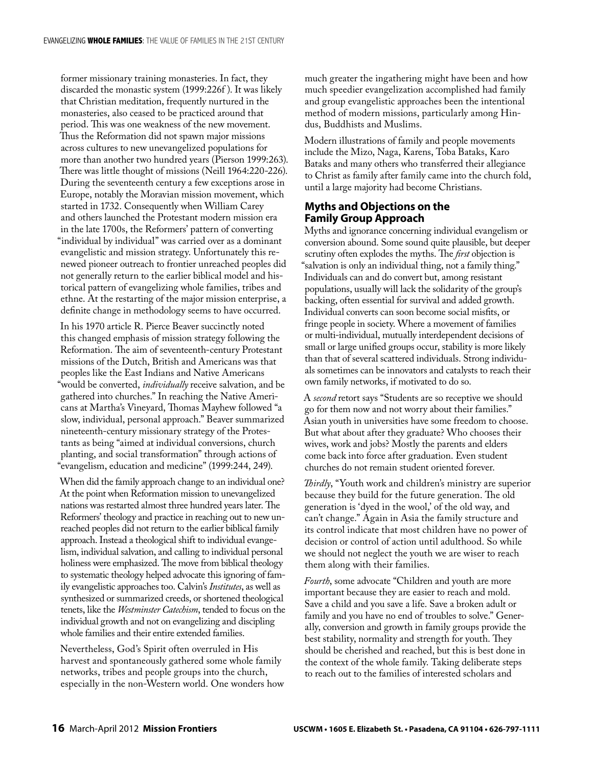former missionary training monasteries. In fact, they discarded the monastic system (1999:226f ). It was likely that Christian meditation, frequently nurtured in the monasteries, also ceased to be practiced around that period. This was one weakness of the new movement. Thus the Reformation did not spawn major missions across cultures to new unevangelized populations for more than another two hundred years (Pierson 1999:263). There was little thought of missions (Neill 1964:220-226). During the seventeenth century a few exceptions arose in Europe, notably the Moravian mission movement, which started in 1732. Consequently when William Carey and others launched the Protestant modern mission era in the late 1700s, the Reformers' pattern of converting "individual by individual" was carried over as a dominant evangelistic and mission strategy. Unfortunately this renewed pioneer outreach to frontier unreached peoples did not generally return to the earlier biblical model and historical pattern of evangelizing whole families, tribes and ethne. At the restarting of the major mission enterprise, a definite change in methodology seems to have occurred.

In his 1970 article R. Pierce Beaver succinctly noted this changed emphasis of mission strategy following the Reformation. The aim of seventeenth-century Protestant missions of the Dutch, British and Americans was that peoples like the East Indians and Native Americans "would be converted, *individually* receive salvation, and be gathered into churches." In reaching the Native Americans at Martha's Vineyard, Thomas Mayhew followed "a slow, individual, personal approach." Beaver summarized nineteenth-century missionary strategy of the Protestants as being "aimed at individual conversions, church planting, and social transformation" through actions of "evangelism, education and medicine" (1999:244, 249).

When did the family approach change to an individual one? At the point when Reformation mission to unevangelized nations was restarted almost three hundred years later. The Reformers' theology and practice in reaching out to new unreached peoples did not return to the earlier biblical family approach. Instead a theological shift to individual evangelism, individual salvation, and calling to individual personal holiness were emphasized. The move from biblical theology to systematic theology helped advocate this ignoring of family evangelistic approaches too. Calvin's *Institutes*, as well as synthesized or summarized creeds, or shortened theological tenets, like the *Westminster Catechism*, tended to focus on the individual growth and not on evangelizing and discipling whole families and their entire extended families.

Nevertheless, God's Spirit often overruled in His harvest and spontaneously gathered some whole family networks, tribes and people groups into the church, especially in the non-Western world. One wonders how much greater the ingathering might have been and how much speedier evangelization accomplished had family and group evangelistic approaches been the intentional method of modern missions, particularly among Hindus, Buddhists and Muslims.

Modern illustrations of family and people movements include the Mizo, Naga, Karens, Toba Bataks, Karo Bataks and many others who transferred their allegiance to Christ as family after family came into the church fold, until a large majority had become Christians.

#### **Myths and Objections on the Family Group Approach**

Myths and ignorance concerning individual evangelism or conversion abound. Some sound quite plausible, but deeper scrutiny often explodes the myths. The *first* objection is "salvation is only an individual thing, not a family thing." Individuals can and do convert but, among resistant populations, usually will lack the solidarity of the group's backing, often essential for survival and added growth. Individual converts can soon become social misfits, or fringe people in society. Where a movement of families or multi-individual, mutually interdependent decisions of small or large unified groups occur, stability is more likely than that of several scattered individuals. Strong individuals sometimes can be innovators and catalysts to reach their own family networks, if motivated to do so.

A *second* retort says "Students are so receptive we should go for them now and not worry about their families." Asian youth in universities have some freedom to choose. But what about after they graduate? Who chooses their wives, work and jobs? Mostly the parents and elders come back into force after graduation. Even student churches do not remain student oriented forever.

*Th irdly*, "Youth work and children's ministry are superior because they build for the future generation. The old generation is 'dyed in the wool,' of the old way, and can't change." Again in Asia the family structure and its control indicate that most children have no power of decision or control of action until adulthood. So while we should not neglect the youth we are wiser to reach them along with their families.

*Fourth*, some advocate "Children and youth are more important because they are easier to reach and mold. Save a child and you save a life. Save a broken adult or family and you have no end of troubles to solve." Generally, conversion and growth in family groups provide the best stability, normality and strength for youth. They should be cherished and reached, but this is best done in the context of the whole family. Taking deliberate steps to reach out to the families of interested scholars and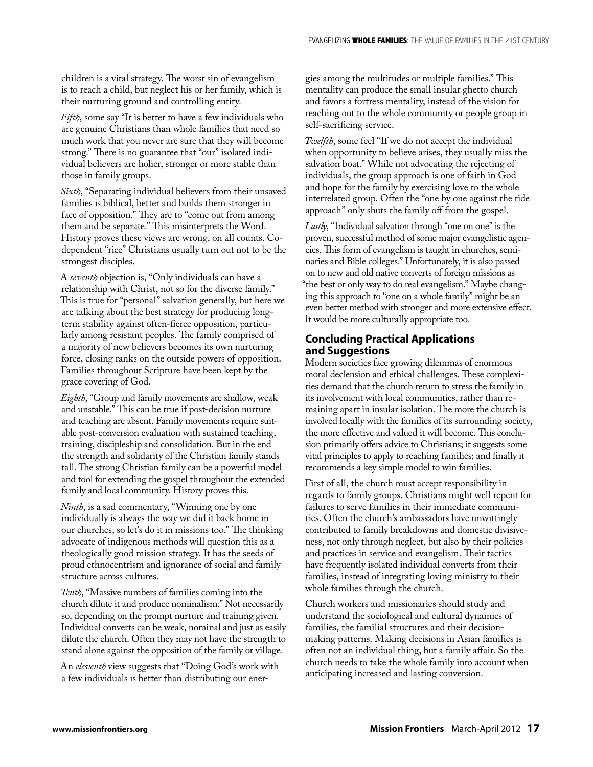children is a vital strategy. The worst sin of evangelism is to reach a child, but neglect his or her family, which is their nurturing ground and controlling entity.

*Fifth*, some say "It is better to have a few individuals who are genuine Christians than whole families that need so much work that you never are sure that they will become strong." There is no guarantee that "our" isolated individual believers are holier, stronger or more stable than those in family groups.

*Sixth*, "Separating individual believers from their unsaved families is biblical, better and builds them stronger in face of opposition." They are to "come out from among them and be separate." This misinterprets the Word. History proves these views are wrong, on all counts. Codependent "rice" Christians usually turn out not to be the strongest disciples.

A *seventh* objection is, "Only individuals can have a relationship with Christ, not so for the diverse family." This is true for "personal" salvation generally, but here we are talking about the best strategy for producing longterm stability against often-fierce opposition, particularly among resistant peoples. The family comprised of a majority of new believers becomes its own nurturing force, closing ranks on the outside powers of opposition. Families throughout Scripture have been kept by the grace covering of God.

*Eighth*, "Group and family movements are shallow, weak and unstable." This can be true if post-decision nurture and teaching are absent. Family movements require suitable post-conversion evaluation with sustained teaching, training, discipleship and consolidation. But in the end the strength and solidarity of the Christian family stands tall. The strong Christian family can be a powerful model and tool for extending the gospel throughout the extended family and local community. History proves this.

*Ninth*, is a sad commentary, "Winning one by one individually is always the way we did it back home in our churches, so let's do it in missions too." The thinking advocate of indigenous methods will question this as a theologically good mission strategy. It has the seeds of proud ethnocentrism and ignorance of social and family structure across cultures.

*Tenth*, "Massive numbers of families coming into the church dilute it and produce nominalism." Not necessarily so, depending on the prompt nurture and training given. Individual converts can be weak, nominal and just as easily dilute the church. Often they may not have the strength to stand alone against the opposition of the family or village.

An *eleventh* view suggests that "Doing God's work with a few individuals is better than distributing our ener-

gies among the multitudes or multiple families." This mentality can produce the small insular ghetto church and favors a fortress mentality, instead of the vision for reaching out to the whole community or people group in self-sacrificing service.

*Twelfth*, some feel "If we do not accept the individual when opportunity to believe arises, they usually miss the salvation boat." While not advocating the rejecting of individuals, the group approach is one of faith in God and hope for the family by exercising love to the whole interrelated group. Often the "one by one against the tide approach" only shuts the family off from the gospel.

*Lastly*, "Individual salvation through "one on one" is the proven, successful method of some major evangelistic agencies. This form of evangelism is taught in churches, seminaries and Bible colleges." Unfortunately, it is also passed on to new and old native converts of foreign missions as "the best or only way to do real evangelism." Maybe changing this approach to "one on a whole family" might be an even better method with stronger and more extensive effect. It would be more culturally appropriate too.

### **Concluding Practical Applications and Suggestions**

Modern societies face growing dilemmas of enormous moral declension and ethical challenges. These complexities demand that the church return to stress the family in its involvement with local communities, rather than remaining apart in insular isolation. The more the church is involved locally with the families of its surrounding society, the more effective and valued it will become. This conclusion primarily offers advice to Christians; it suggests some vital principles to apply to reaching families; and finally it recommends a key simple model to win families.

First of all, the church must accept responsibility in regards to family groups. Christians might well repent for failures to serve families in their immediate communities. Often the church's ambassadors have unwittingly contributed to family breakdowns and domestic divisiveness, not only through neglect, but also by their policies and practices in service and evangelism. Their tactics have frequently isolated individual converts from their families, instead of integrating loving ministry to their whole families through the church.

Church workers and missionaries should study and understand the sociological and cultural dynamics of families, the familial structures and their decisionmaking patterns. Making decisions in Asian families is often not an individual thing, but a family affair. So the church needs to take the whole family into account when anticipating increased and lasting conversion.